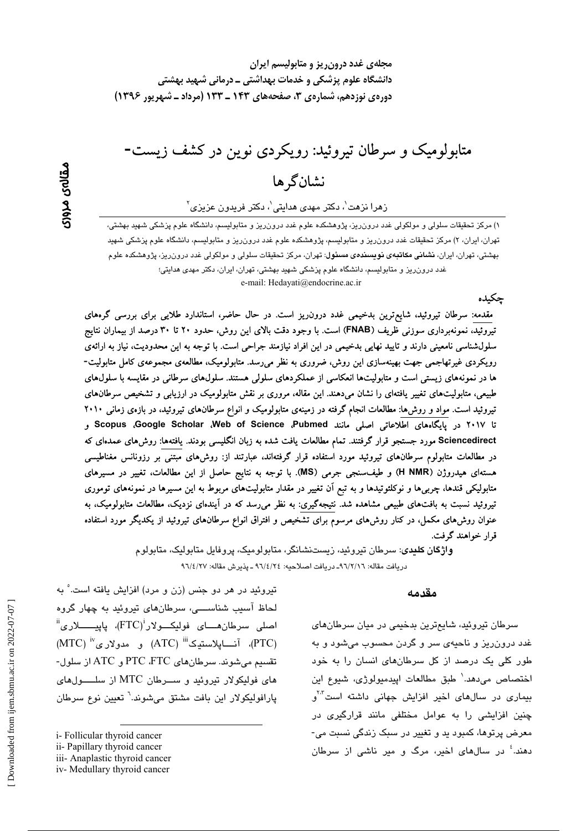# متابولومیک و سرطان تیروئید: رویکردی نوین در کشف زیست-نشان گر ها

 $\mathcal{S}_j$ زهرا نزهت $\mathcal{S}_j$ ، دکتر مهدی هدایتی $\mathcal{S}_j$  دکتر فریدون عزیزی

۱) مرکز تحقیقات سلولی و مولکولی غدد درون٫یز، پژوهشکده علوم غدد درون٫یز و متابولیسم، دانشگاه علوم پزشکی شهید بهشتی، تهران، ایران، ۲) مرکز تحقیقات غدد درون٫ریز و متابولیسم، پژوهشکده علوم غدد درون٫ریز و متابولیسم، دانشگاه علوم پزشکی شهید پهشتی، تهران، ایران، **نشانی مکاتبهی نویسند***هی* **مسئول**: تهران، مرکز تحقیقات سلولی و مولکولی غدد درون ریز، پژوهشکده علو<u>م</u> غدد درونریز و متابولیسم، دانشگاه علوم پزشکی شهید بهشتی، تهران، ایران، دکتر مهدی هدایتی؛ e-mail: Hedavati@endocrine.ac.ir

حكىدە

مقدمه: سرطان تیروئید، شایع ترین بدخیمی غدد درون ریز است. در حال حاضر، استاندارد طلایی برای بررسی گرههای تیروئید، نمونهبرداری سوزنی ظریف (FNAB) است. با وجود دقت بالای این روش، حدود ۲۰ تا ۳۰ درصد از بیماران نتایج سلولشناسی نامعینی دارند و تایید نهایی بدخیمی در این افراد نیازمند جراحی است. با توجه به این محدودیت، نیاز به ارائهی رویکردی غیرتهاجمی جهت بهینهسازی این روش، ضروری به نظر میرسد. متابولومیک، مطالعهی مجموعهی کامل متابولیت-ها در نمونههای زیستی است و متابولیتها انعکاسی از عملکردهای سلولی هستند. سلولهای سرطانی در مقایسه با سلولAهای طبیعی، متابولیتهای تغییر یافتهای را نشان میدهند. این مقاله، مروری بر نقش متابولومیک در ارزیابی و تشخیص سرطانهای تیروئید است. مواد و روش۵ا: مطالعات انجام گرفته در زمینهی متابولومیک و انواع سرطانهای تیروئید، در بازهی زمانی ۲۰۱۰ تا ۲۰۱۷ در پایگامهای اطلاعاتی اصلی مانند Scopus ،Google Scholar ،Web of Science ،Pubmed و Sciencedirect مورد جستجو قرار گرفتند. تمام مطالعات یافت شده به زبان انگلیسی بودند. یافتهها: روش۵ای عمدهای که در مطالعات متابولوم سرطانهای تیروئید مورد استفاده قرار گرفتهاند، عبارتند از: روش۵ای مبتنی بر رزونانس مغناطیسی هستهای هیدروژن (H NMR) و طیف سنجی جرمی (MS). با توجه به نتایج حاصل از این مطالعات، تغییر در مسیرهای متابولیکی قندها، چربی۵ا و نوکلئوتیدها و به تبع آن تغییر در مقدار متابولیتهای مربوط به این مسیرها در نمونههای توموری تیروئید نسبت به بافتهای طبیعی مشاهده شد. نتیجهگیری: به نظر میرسد که در آیندهای نزدیک، مطالعات متابولومیک، به عنوان روشهای مکمل، در کنار روشهای مرسوم برای تشخیص و افتراق انواع سرطانهای تیروئید از یکدیگر مورد استفاده قرار خواهند گرفت.

> واژگان کلندی: سرطان تیروئید، زیستنشانگر، متابولومیک، پروفایل متابولیک، متابولوم دريافت مقاله: ٩٦/٢/١٦- دريافت اصلاحيه: ٤٦/٤/٢٤ ـ پذيرش مقاله: ٩٦/٤/٢٧

#### مقدمه

سرطان تیروئید، شایع ترین بدخیمی در میان سرطانهای غدد درون ریز و ناحیهی سر و گردن محسوب میشود و به طور کلی یک درصد از کل سرطانهای انسان را به خود اختصاص میدهد.` طبق مطالعات اپیدمیولوژی، شیوع این بیماری در سالهای اخیر افزایش جهانی داشته است<sup>۲۰۲</sup>و چنین افزایشی را به عوامل مختلفی مانند قرارگیری در معرض پرتوها، کمبود پد و تغییر در سبک زندگی نسبت می-دهند.<sup>؛</sup> در سالهای اخبر، مرگ و مبر ناش*ی* از سرطان

تیروئید در هر دو جنس (زن و مرد) افزایش یافته است. ْ به لحاظ آسیب شناســـی، سرطانهای تیروئید به چهار گروه  $^{\rm ii}$ اصلي سرطانهـــاي فولِيكـــولار $^{\rm i}$ (FTC)، پاييــــــــلاري (PTC)، آنسايلاستيک<sup>iii</sup> (ATC) و مدولاري<sup>v</sup> (MTC) تقسيم مي شوند. سرطان هاي PTC ،FTC و ATC از سلول-های فولیکولار تیروئید و سیرطان MTC از سلسولهای يارافوليكولار اين بافت مشتق مي شوند.<sup>٦</sup> تعيين نوع سرطان

i-Follicular thyroid cancer

ii- Papillary thyroid cancer

iii- Anaplastic thyroid cancer

iv-Medullary thyroid cancer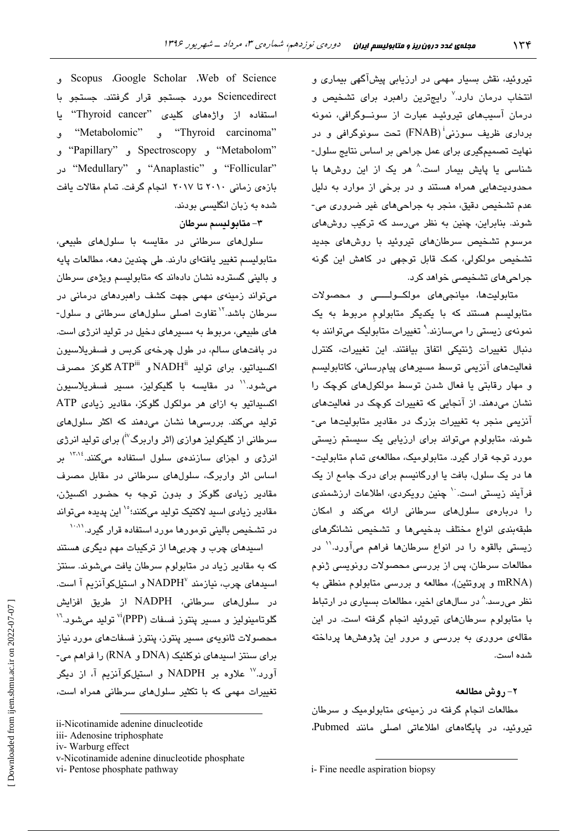تیروئید، نقش بسیار مهمی در ارزیابی پیشآگهی بیماری و انتخاب درمان دارد.<sup>۷</sup> رایجترین راهبرد برا*ی* تشخیص و درمان آسیدهای تیروئید عبارت از سونیوگرافی، نمونه برداری ظریف سوزنی<sup>:</sup> (FNAB) تحت سونوگرافی و در نهایت تصمیمگیری برای عمل جراحی بر اساس نتایج سلول-شناسی یا پایش بیمار است.<sup>۸</sup> هر یک از این روشها یا محدودیتهایی همراه هستند و در برخی از موارد به دلیل عدم تشخيص دقيق، منجر به جراحي هاي غير ضروري مي-شوند. بنابراین، چنین به نظر می رسد که ترکیب روشهای مرسوم تشخیص سرطانهای تیروئید با روشهای جدید تشخیص مولکولی، کمک قابل توجهی در کاهش این گونه جرا*حی های* تشخیصی خواهد کرد.

متابولیتها، میانجیهای مولکولسو و محصولات متابولیسم هستند که با یکدیگر متابولوم مربوط به یک نمونهي زيستي را ميسازند.' تغييرات متابوليک ميتوانند به دنبال تغییرات ژنتیکی اتفاق بیافتند. این تغییرات، کنترل فعاليتهاى آنزيمى توسط مسيرهاى پيامرسانى، كاتابوليسم و مهار رقابتی یا فعال شدن توسط مولکولهای کوچک را نشان میدهند. از آنجایی که تغییرات کوچک در فعالیتهای آنزیمی منجر به تغییرات بزرگ در مقادیر متابولیتها می-شوند، متابولوم میتواند برای ارزیابی یک سیستم زیستی مورد توجه قرار گیرد. متابولومیک، مطالعهی تمام متابولیت-ها در یک سلول، بافت یا اورگانیسم برای درک جامع از یک فرآیند زیستی است<sup>۱۰</sup> چنین رویکردی، اطلاعات ارزشمن*دی* را دربارهی سلولهای سرطانی ارائه میکند و امکان طبقهبندی انواع مختلف بدخیمیها و تشخیص نشانگرهای زیستی بالقوه را در انواع سرطانها فراهم میآورد.'' در مطالعات سرطان، پس از بررسی محصولات رونویسی ژنوم nRNA) و پروتئین)، مطالعه و بررسی متابولوم منطقی به نظر می رسد.^ در سالهای اخیر، مطالعات بسیاری در ارتباط با متابولوم سرطانهای تیروئید انجام گرفته است. در این مقالهی مروری به بررسی و مرور این پژوهشها پرداخته شده است.

٢- روش مطالعه

مطالعات انجام گرفته در زمینهی متابولومیک و سرطان تیروئید، در پایگاههای اطلاعاتی اصلی مانند Pubmed،

Scopus Google Scholar . Web of Science Sciencedirect مورد جستجو قرار گرفتند. جستجو با استفاده از واژههای کلیدی "Thyroid cancer" یا "Thyroid carcinoma" و "Metabolomic" و "Metabolom" و Spectroscopy و "Papillary" و "Follicular" و "Anaplastic" و "Medullary" در بازهى زمانى ٢٠١٠ تا ٢٠١٧ انجام گرفت. تمام مقالات يافت شده به زبان انگلیسی بودند.

#### ٣- متابوليسم سرطان

سلول های سرطانی در مقایسه با سلولهای طبیعی، متابولیسم تغییر یافتهای دارند. طی چندین دهه، مطالعات پایه و بالینی گسترده نشان دادهاند که متابولیسم ویژهی سرطان میتواند زمینهی مهمی جهت کشف راهبردهای درمانی در سرطان باشد.<sup>۱۲</sup> تفاوت اصلی سلولهای سرطانی و سلول-های طبیعی، مربوط به مسیرهای دخیل در تولید انرژی است. در بافتهای سالم، در طول چرخهی کربس و فسفریلاسیون اكسبداتيو، براي توليد "NADH و ATP<sup>iii</sup> گلوكز مصرف می،شود.'' در مقایسه با گلیکولیز، مسیر فسفریلاسیون اکسیداتیو به ازای هر مولکول گلوکز، مقادیر زیادی ATP تولید میکند. بررسیها نشان میدهند که اکثر سلولهای سرطانی از گلیکولیز هواز*ی* (اثر واربرگ<sup>۷</sup>) برای تولید انرژ*ی* انرژی و اجزای سازندهی سلول استفاده میکنند.<sup>۱۳،۱۶</sup> بر اساس اثر واربرگ، سلولهای سرطانی در مقابل مصرف .<br>مقادیر زیا*دی* گلوکز و بدون توجه به حضور اکسیژن، مقادیر زیاد*ی* اسید لاکتیک تولید میکنند؛°<sup>۱</sup> این پدیده میتواند در تشخیص بالینی تومورها مورد استفاده قرار گیرد.<sup>۱۰،۱۱</sup>

اسپد*های چر*ب و چربیها از ترکیبات مهم دیگری هستند که به مقادیر زیاد در متابولوم سرطان یافت میشوند. سنتز اسپدهای چرب، نیازمند NADPH و استیلکوآنزیم آ است. در سلولهای سرطانی، NADPH از طریق افزایش گلوتامینولیز و مسیر پنتوز فسفات (PPP)<sup>vi</sup> تولید میشود.<sup>۱٬</sup> محصولات ثانويەي مسير ينتوز، ينتوز فسفاتهاي مورد نياز برای سنتز اسیدهای نوکلئیک (DNA و RNA) را فراهم می-آورد.<sup>۱۷</sup> علاوه بر NADPH و استیلکوآنزیم آ، از دیگر تغییرات مهمی که یا تکثیر سلولهای سرطانی همراه است،

ii-Nicotinamide adenine dinucleotide

iii- Adenosine triphosphate

iv-Warburg effect

v-Nicotinamide adenine dinucleotide phosphate

vi-Pentose phosphate pathway

i- Fine needle aspiration biopsy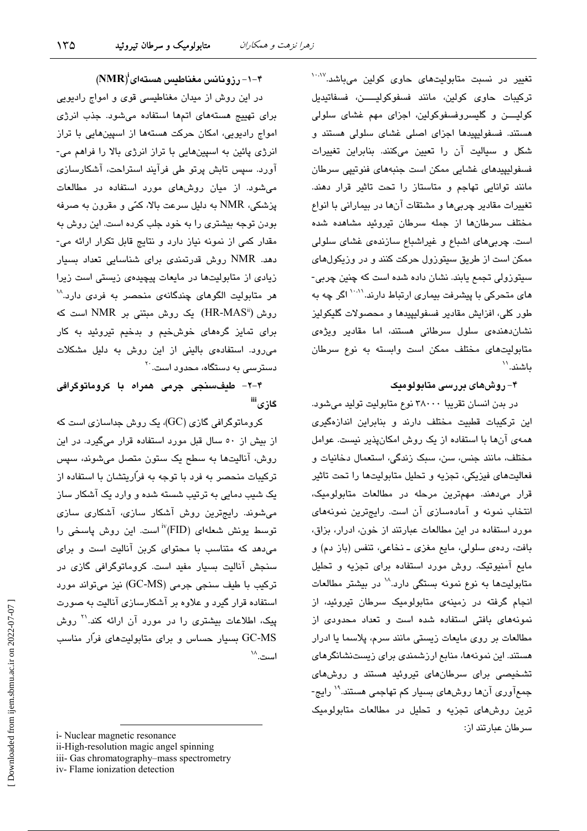تغییر در نسبت متابولیتهای حاوی کولین میباشد.<sup>۱۰،۷</sup> تركيبات حاوى كولين، مانند فسفوكوليـــــن، فسفاتيديل کولیــــن و گلیسروفسفوکولین، اجزای مهم غشای سلول*ی* هستند. فسفولیپیدها اجزای اصلی غشای سلولی هستند و شکل و سیالیت آن را تعیین میکنند. بنابراین تغییرات فسفولیپیدھای غشایی ممکن است جنیههای فنوتیی سرطان مانند توانایی تهاجم و متاستاز را تحت تاثیر قرار دهند. تغییرات مقادیر چربیها و مشتقات آنها در بیمارانی با انواع مختلف سرطانها از جمله سرطان تبروئید مشاهده شده است. چربی های اشباع و غیراشباع سازندهی غشای سلولی ممکن است از طریق سیتوزول حرکت کنند و در وزیکولهای سنڌورولي تجمع پايند. نشان داده شده است که چنين چرپي-های متحرکی با پیشرفت بیماری ارتباط دارند.<sup>۱۰،۱۱</sup> اگر چه به طور کلی، افزایش مقادیر فسفولیپیدها و محصولات گلیکولیز نشان،دهندهی سلول سرطانی هستند، اما مقادیر ویژه*ی* متابولیتهای مختلف ممکن است وابسته به نوع سرطان ىاشند.``

### ۴– روشهای بررسی متابولومیک

در بدن انسان تقریبا ۳۸۰۰۰ نوع متابولیت تولید میشود. این ترکیبات قطبیت مختلف دارند و بنابراین اندازهگیری همهی آنها با استفاده از یک روش امکانپذیر نیست. عوامل مختلف، مانند جنس، سن، سبک زندگی، استعمال دخانیات و فعالیتهای فیزیکی، تجزیه و تحلیل متابولیتها را تحت تاثیر قرار می،دهند. مهمترین مرحله در مطالعات متابولومیک، انتخاب نمونه و آمادهسازی آن است. رایجترین نمونههای مورد استفاده در این مطالعات عبارتند از خون، ادرار، بزاق، بافت، ردهي سلولي، مايع مغزي ــ نخاعي، تنفس (باز دم) و مایع آمنیوتیک. روش مورد استفاده برای تجزیه و تحلیل متابولیتها به نوع نمونه بستگی دارد.^` در بیشتر مطالعات انجام گرفته در زمینهی متابولومیک سرطان تیروئید، از نمونههای بافتی استفاده شده است و تعداد محدودی از مطالعات بر روى مايعات زيستى مانند سرم، يلاسما يا ادرار هستند. این نمونهها، منابع ارزشمندی برای زیستنشانگرهای تشخیصی برای سرطانهای تیروئید هستند و روشهای جمعآوری آنها روشهای بسیار کم تهاجمی هستند.'` رایج-ترین روشهای تجزیه و تحلیل در مطالعات متابولومیک سرطان عبارتند از:

 $(NMR)^i$ -۱-۴) رزونانس مغناطیس هستهای $-1$ 

در این روش از میدان مغناطیسی قوی و امواج رادیویی برای تهییج هستههای اتمها استفاده می شود. جذب انرژی امواج رادیویی، امکان حرکت هستهها از اسپینهایی با تراز انرژی پائین به اسپینهایی با تراز انرژی بالا را فراهم می-آورد. سپس تابش پرتو طی فرآیند استراحت، آشکارسازی میشود. از میان روشهای مورد استفاده در مطالعات پزشکی، NMR به دلیل سرعت بالا، کمّی و مقرون به صرفه بودن توجه بیشتری را به خود جلب کرده است. این روش به مقدار کمی از نمونه نیاز دارد و نتایج قابل تکرار ارائه می-دهد. NMR روش قدرتمندی برای شناسایی تعداد بسیار زیادی از متابولیتها در مایعات پیچیدهی زیستی است زیرا هر متابولیت الگوهای چندگانهی منحصر به فردی دارد.^` روش (HR-MAS") یک روش مبتنی بر NMR است که برای تمایز گرههای خوشخیم و بدخیم تیروئید به کار می رود. استفادهی بالینی از این روش به دلیل مشکلات دسترس*ی* به دستگاه، محدود است.<sup>۲۰</sup>

۴-۲- طیفسنجی جرمی همراه با کروماتوگرافی گاز ی<sup>iii</sup>

کروماتوگرافی گازی (GC)، یک روش جداسازی است که از بیش از ٥٠ سال قبل مورد استفاده قرار میگیرد. در این روش، آنالیتها به سطح یک ستون متصل می شوند، سپس ترکیبات منحصر به فرد با توجه به فرّاریتشان با استفاده از یک شیب دمایی به ترتیب شسته شده و وارد یک آشکار ساز میشوند. رایجترین روش آشکار سازی، آشکاری سازی توسط یونش شعلهای (FID)'<sup>iv</sup>(FID) است. این روش پاسخی را می دهد که متناسب با محتوای کربن آنالیت است و برای سنجش آنالیت بسیار مفید است. کروماتوگرافی گازی در ترکیب با طیف سنجی جرمی (GC-MS) نیز میتواند مورد استفاده قرار گیرد و علاوه بر آشکارسازی آنالیت به صورت یبک، اطلاعات بیشتری را در مورد آن ارائه کند.<sup>۲۱</sup> روش GC-MS بسیار حساس و برای متابولیتهای فرار مناسب است.^`

i- Nuclear magnetic resonance ii-High-resolution magic angel spinning iii- Gas chromatography-mass spectrometry iv-Flame ionization detection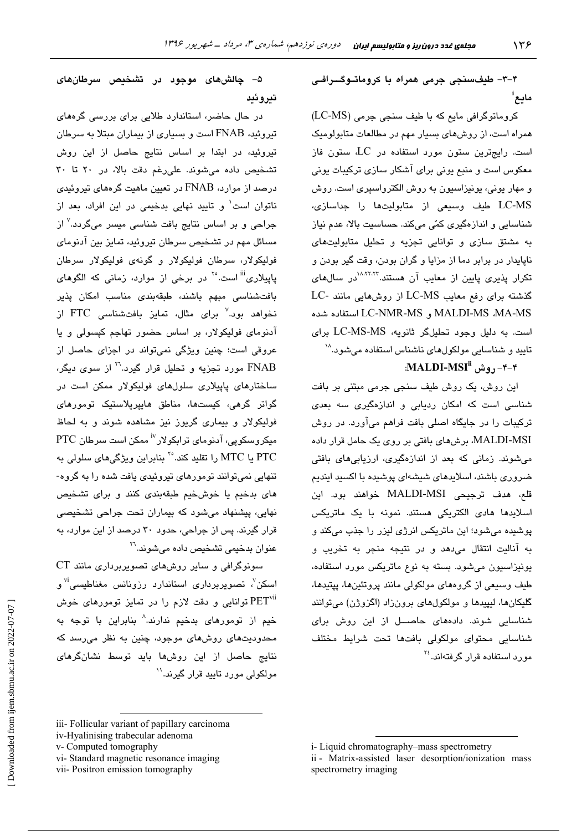۴-۳- طلقسنجي جرمي همراه يا کروماتـوگــرافـي مايع<sup>ا</sup>

كروماتوكرافي مايع كه با طيف سنجى جرمى (LC-MS) همراه است، از روشهای بسیار مهم در مطالعات متابولومیک است. رایجترین ستون مورد استفاده در  $\rm LC$  ستون فاز معکوس است و مندم بونی برای آشکار سازی ترکیبات بونی و مهار یونی، یونیزاسیون به روش الکترواسپری است. روش LC-MS طيف وسيعى از متابوليتها را جداسازى، .<br>شناسابی و اندازهگیری کمّی میکند. حساسیت بالا، عدم نیاز به مشتق سازی و توانایی تجزیه و تحلیل متابولیتهای ناپایدار در برابر دما از مزایا و گران بودن، وقت گیر بودن و تکرار پذیری پایین از معایب آن هستند.<sup>۸٬۲۲٬۲</sup>۳ در سالهای گذشته برای رفع معایب LC-MS از روشهایی مانند -LC MALDI-MS ،MA-MS و LC-NMR-MS استفاده شده است. به دلیل وجود تحلیلگر ثانویه، LC-MS-MS برای تاييد و شناسايي مولكولهاي ناشناس استفاده ميشود.^`

### ۴–۴–۱٫ و ش MALDI-MSI

این روش، یک روش طیف سنجی جرمی مبتنی بر بافت شناسی است که امکان ردیابی و اندازهگیری سه بع*د*ی ترکیبات را در جایگاه اصلی بافت فراهم میآورد. در روش MALDI-MSI، برشهای بافتی بر روی یک حامل قرار داده می شوند. زمانی که بعد از اندازهگیری، ارزیابی های بافتی ضروری باشند، اسلایدهای شیشهای پوشیده با اکسید ایندیم قلع، هدف ترجيحي MALDI-MSI خواهند بود. اين اسلایدها هادی الکتریکی هستند. نمونه با یک ماتریکس پوشيده مي شود؛ اين ماتريكس انرژي ليزر را جذب مي كند و به آنالیت انتقال می دهد و در نتیجه منجر به تخریب و يونيزاسيون مي شود. بسته به نوع ماتريكس مورد استفاده، طیف وسیعی از گروههای مولکولی مانند پروتئینها، پپتیدها، گليکانها، ليپيدها و مولکولهای برونزاد (اگزوژن) میتوانند شناسایی شوند. دادههای حاصیل از این روش برای شناسایی محتوای مولکولی بافتها تحت شرایط مختلف مور د استفاده قرار گرفتهاند.<sup>۲٤</sup>

## ۵– چالشهای موجود در تشخیص سرطانهای تىروئىد

در حال حاضر، استاندارد طلایی برای بررسی گر<mark>دهای</mark> تیروئید، FNAB است و بسیاری از بیماران مبتلا به سرطان .<br>تیروئید، در ابتدا بر اساس نتایج حاصل از این روش تشخيص داده مى شوند. على رغم دقت بالا، در ٢٠ تا ٣٠ درصد از موارد، FNAB در تعیین ماهیت گرههای تیروئیدی ناتوان است<sup>۱</sup> و تایید نهایی بدخیمی در این افراد، بعد از جراحی و بر اساس نتایج بافت شناسی میسر میگردد.<sup>۷</sup> از مسائل مهم در تشخیص سرطان تیروئید، تمایز بین آدنومای فوليکولار، سىرطان فوليکولار و گونە*ى* فوليکولار سىرطان یاییلاری<sup>iii</sup> است.<sup>۲۰</sup> در برخی از موارد، زمانی که الگوها*ی* بافت شناسى مبهم باشند، طبقهبندى مناسب امكان پذير نخواهد بود.<sup>۷</sup> برای مثال، تمایز بافتشناسی FTC از ۔<br>آدنوما*ی* فولیکولار، بر اساس حضور تھاجم کپسولی و یا عروقی است؛ چنین ویژگی نمیتواند در اجزای حاصل از FNAB مورد تجزیه و تحلیل قرار گیرد.<sup>۲۲</sup> از سوی دیگر، ساختارهای پاییلاری سلولهای فولیکولار ممکن است در گواتر گرهی، کیستها، مناطق هایپرپلاستیک تومورهای فولیکولار و بیماری گریوز نیز مشاهده شوند و به لحاظ میکروسکویی، آدنومای ترابکولار<sup>vن</sup> ممکن است سرطان PTC PTC یا MTC را تقلید کند.°٬ بنابراین ویژگیهای سلولی به تنهایی نمیتوانند تومورهای تیروئیدی یافت شده را به گروه-های بدخیم یا خوشخیم طبقهبندی کنند و برای تشخیص نهایی، پیشنهاد میشود که بیماران تحت جراحی تشخیصی قرار گیرند. پس از جراحی، حدود ۳۰ درصد از این موارد، به عنوان بدخي*مي* تشخيص داده مي شوند.<sup>٢٦</sup>

سونوگرافی و سایر روشهای تصویربرداری مانند CT اسکن<sup>۷</sup>، تصویربرداری استاندارد رزونانس مغناطیسی<sup>۳</sup> و توانایی و دقت لازم را در تمایز تومورهای خوش PET خیم از تومورهای بدخیم ندارند.^ بنابراین با توجه به محدودیتهای روشهای موجود، چنین به نظر میرسد که نتایج حاصل از این روشها باید توسط نشانگرهای مولکولی مورد تایید قرار گیرند.''

i-Liquid chromatography-mass spectrometry ii - Matrix-assisted laser desorption/ionization mass spectrometry imaging

iii- Follicular variant of papillary carcinoma

iv-Hyalinising trabecular adenoma

v- Computed tomography

vi-Standard magnetic resonance imaging

vii- Positron emission tomography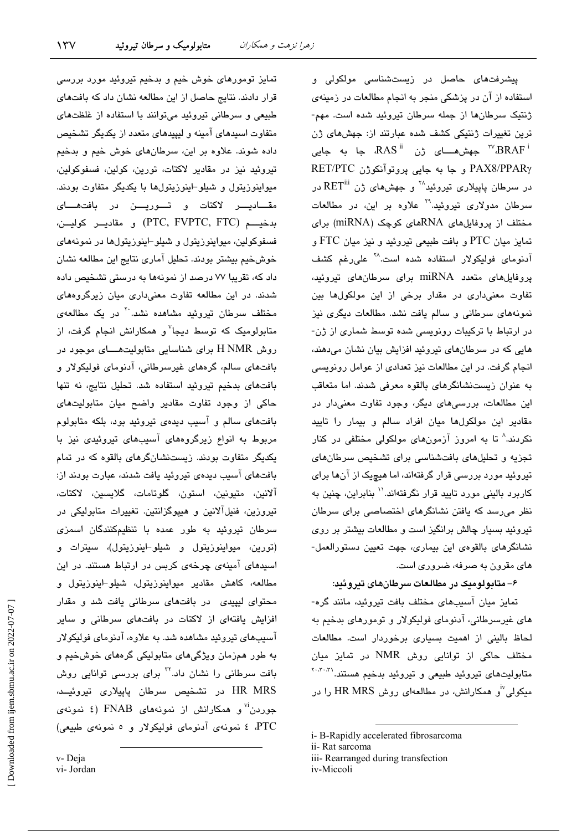$\gamma \gamma \gamma$ 

پیشرفتها*ی* حاصل در زیستشناسی مولکولی و استفاده از آن در پزشکی منجر به انجام مطالعات در زمینهی ژنتیک سرطانها از جمله سرطان تیروئید شده است. مهم-ترین تغییرات ژنتیکی کشف شده عبارتند از: جهشهای ژن جهش هــای ژن "RAS" جا به جایی «RAS" جهش هــای PAX8/PPARy و جا به جابي پروتوآنكوژن RET/PTC در سرطان پاپیلاری تیروئید $^{\wedge\!\star}$  و جهشهای ژن  $\operatorname{RET}^{\rm iii}$  در سرطان مدولاری تیروئید.<sup>۲۹</sup> علاوه بر این، در مطالعات مختلف از پروفایلهای RNAهای کوچک (miRNA) برای تمایز میان PTC و بافت طبیعی تیروئید و نیز میان FTC و آدنومای فولیکولار استفاده شده است<sup>.۲۸</sup> علیرغم کشف یروفایلهای متعدد miRNA برای سرطانهای تیروئید، تفاوت معنیداری در مقدار برخی از این مولکولها بین نمونههای سرطانی و سالم یافت نشد. مطالعات دیگری نیز در ارتباط یا ترکیبات رونویسی شده توسط شماری از ژن-هایی که در سرطانهای تیروئید افزایش بیان نشان میدهند، انجام گرفت. در این مطالعات نیز تعدادی از عوامل رونویسی به عنوان زیستنشانگرهای بالقوه معرفی شدند. اما متعاقب این مطالعات، بررسیهای دیگر، وجود تفاوت معنیدار در مقادیر این مولکولها میان افراد سالم و بیمار را تایید نکردند.^ تا به امروز آزمونهای مولکولی مختلفی در کنار تجزیه و تحلیلهای بافتشناسی برای تشخیص سرطانهای تیروئید مورد بررسی قرار گرفتهاند، اما هیچیک از آنها برای کاربرد بالینی مورد تایید قرار نگرفتهاند.'' بنابراین، چنین به نظر میرسد که یافتن نشانگرهای اختصاصی برای سرطان تیروئید بسیار چالش برانگیز است و مطالعات بیشتر بر روی نشانگرهای بالقوهی این بیماری، جهت تعیین دستورالعمل-های مقرون به صرفه، ضروری است.

#### ۶– متابولومیک در مطالعات سرطانهای تیروئید:

تمایز میان آسیبهای مختلف بافت تیروئید، مانند گره-های غیرسرطانی، آدنومای فولیکولار و تومورهای بدخیم به لحاظ بالینی از اهمیت بسیاری برخوردار است. مطالعات مختلف حاکی از توانایی روش NMR در تمایز میان متابولیتهای تیروئید طبیعی و تیروئید بدخیم هستند.<sup>۲۰،۳۰</sup> میکولی<sup>y</sup>و همکارانش، در مطالعهای روش HR MRS را در

iv-Miccoli

تمایز تومورهای خوش خیم و بدخیم تیروئید مورد بررسی قرار دادند. نتایج حاصل از این مطالعه نشان داد که بافتهای طبیعی و سرطانی تیروئید میتوانند با استفاده از غلظتهای متفاوت اسیدهای آمینه و لیپیدهای متعدد از یکدیگر تشخیص داده شوند. علاوه بر این، سرطانهای خوش خیم و بدخیم تیروئید نیز در مقادیر لاکتات، تورین، کولین، فسفوکولین، میواینوزیتول و شیلو-اینوزیتولها با یکدیگر متفاوت بودند. مقـــاديــــر لاكتات و تــــوريــــن در بافتهــــاى بدخيـــم (PTC, FVPTC, FTC) و مقاديــر كوليــن، فسفوکولین، میواینوزیتول و شیلو-اینوزیتولها در نمونههای خوشخيم بيشتر بودند. تحليل آماري نتايج اين مطالعه نشان داد که، تقریبا ۷۷ درصد از نمونهها به درستی تشخیص داده شدند. در این مطالعه تفاوت معنیداری میان زیرگروههای مختلف سرطان تیروئید مشاهده نشد.<sup>۲۰</sup> در یک مطالعهی متابولومیک که توسط دیجا<sup>۷</sup>و همکارانش انجام گرفت، از روش H NMR برای شناسایی متابولیتهــــای موجود در بافتهای سالم، گرههای غیرسرطانی، آدنومای فولیکولار و بافتهای بدخیم تیروئید استفاده شد. تحلیل نتایج، نه تنها حاکی از وجود تفاوت مقادیر واضح میان متابولیتهای بافتهای سالم و آسیب دیدهی تیروئید بود، بلکه متابولوم مربوط به انواع زیرگروههای آسیبهای تیروئیدی نیز با یکدیگر متفاوت بودند. زیستنشانگرهای بالقوه که در تمام بافتهای آسیب دیدهی تیروئید یافت شدند، عبارت بودند از: آلانين، متيونين، استون، گلوتامات، گلايسين، لاكتات، تیروزین، فنیلآلانین و هیپوگزانتین. تغییرات متابولیکی در سرطان تیروئید به طور عمده با تنظیمکنندگان اسمزی (تورين، ميواينوزيتول و شيلو-اينوزيتول)، سيترات و اسیدهای آمینهی چرخهی کربس در ارتباط هستند. در این مطالعه، كاهش مقادير ميواينوزيتول، شيلو-اينوزيتول و محتوای لیپیدی در بافتهای سرطانی یافت شد و مقدار افزایش یافتهای از لاکتات در بافتهای سرطانی و سایر آسیبهای تیروئید مشاهده شد. به علاوه، آدنومای فولیکولار به طور همزمان ویژگیهای متابولیکی گرههای خوشخیم و بافت سرطانی را نشان داد.<sup>۲۲</sup> برای بررسی توانایی روش HR MRS در تشخیص سرطان پاپیلاری تیروئیــد، جوردن<sup>'</sup>' و همکارانش از نمونههای FNAB (٤ نمونهی PTC، ٤ نمونهى آدنوماى فوليكولار و ٥ نمونهى طبيعى)

v-Deja

vi- Jordan

i-B-Rapidly accelerated fibrosarcoma

ii-Rat sarcoma

iii- Rearranged during transfection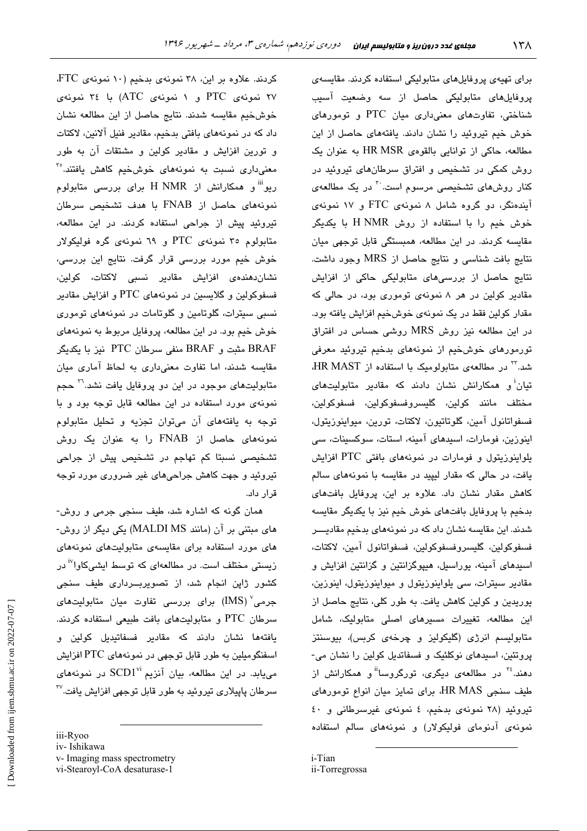برای تهیهی پروفایلهای متابولیکی استفاده کردند. مقایسهی پروفایلهای متابولیکی حاصل از سه وضعیت آسیب شناختی، تفاوتهای معنیداری میان PTC و تومورهای خوش خیم تیروئید را نشان دادند. یافتههای حاصل از این مطالعه، حاکی از توانایی بالقوهی HR MSR به عنوان یک روش کمکی در تشخیص و افتراق سرطانهای تیروئید در کنار روشهای تشخیصی مرسوم است.<sup>۳۰</sup> در یک مطالعهی آیندهنگر، دو گروه شامل ۸ نمونهی FTC و ۱۷ نمونهی خوش خدم را با استفاده از روش H NMR با یکدیگر مقایسه کردند. در این مطالعه، همبستگی قابل توجهی میان نتايج بافت شناسي و نتايج حاصل از MRS وجود داشت. نتایج حاصل از بررسیهای متابولیکی حاکی از افزایش مقادیر کولین در هر ۸ نمونهی توموری بود، در حالی که مقدار كولين فقط در يك نمونهى خوش خيم افزايش يافته بود. در این مطالعه نیز روش MRS روشی حساس در افتراق تورمورهای خوشخیم از نمونههای بدخیم تیروئید معرفی شد.<sup>۳</sup> در مطالعهی متابولومیک با استفاده از HR MAST، تبان<sup>آ</sup> و همکارانش نشان دادند که مقادیر متابولیتها*ی* مختلف مانند كولين، گليسروفسفوكولين، فسفوكولين، فسفواتانول آمين، گلوتاتيون، لاكتات، تورين، ميواينوزيتول، اینوزین، فومارات، اسبدهای آمینه، استات، سوکسینات، سی یلواینوزیتول و فومارات در نمونههای بافتی PTC افزایش یافت، در حالی که مقدار لیپید در مقایسه با نمونههای سالم کاهش مقدار نشان داد. علاوه بر این، پروفایل بافتهای بدخیم با پروفایل بافتهای خوش خیم نیز با یکدیگر مقایسه شدند. این مقایسه نشان داد که در نمونههای بدخیم مقادیــــر فسفوكولين، گليسروفسفوكولين، فسفواتانول آمين، لاكتات، اسیدهای آمینه، یوراسیل، هیپوگزانتین و گزانتین افزایش و مقادیر سیترات، سی یلواینوزیتول و میواینوزیتول، اینوزین، یوریدین و کولین کاهش یافت. به طور کلی، نتایج حاصل از این مطالعه، تغییرات مسیرهای اصلی متابولیک، شامل متابولیسم انرژی (گلیکولیز و چرخهی کربس)، بیوسنتز پروتئین، اسبدهای نوکلئیک و فسفاتدیل کولین را نشان می-دهند.<sup>۲٤</sup> در مطالعهی دیگری، تورگروسا<sup>آآ</sup>و همکارانش از طيف سنجى HR MAS، براى تمايز ميان انواع تومورهاى تیروئید (۲۸ نمونهی بدخیم، ٤ نمونهی غیرسرطانی و ٤٠ نمونهی آدنومای فولیکولار) و نمونههای سالم استفاده

i-Tian ii-Torregrossa

کردند. علاوه بر این، ۳۸ نمونهی بدخیم (۱۰ نمونهی FTC، ۲۷ نمونهی PTC و ۱ نمونهی ATC) با ۳٤ نمونهی خوشخيم مقايسه شدند. نتايج حاصل از اين مطالعه نشان داد که در نمونههای بافتی بدخیم، مقادیر فنیل آلانین، لاکتات و تورین افزایش و مقادیر کولین و مشتقات آن به طور معنی،داری نسبت به نمونههای خوشخیم کاهش یافتند.°<sup>۳</sup> ریو" و همکارانش از H NMR برای بررسی متابولوم نمونههای حاصل از FNAB با هدف تشخیص سرطان تیروئید پیش از جراحی استفاده کردند. در این مطالعه، متابولوم ۳۵ نمونهی PTC و ٦٩ نمونهی گره فولیکولار خوش خیم مورد بررسی قرار گرفت. نتایج این بررسی، نشاندهندە*ی* افزایش مقادیر نسبی لاکتات، کولین، فسفوکولین و گلایسین در نمونههای PTC و افزایش مقادیر نسبی سیترات، گلوتامین و گلوتامات در نمونههای توموری خوش خيم بود. در اين مطالعه، پروفايل مربوط به نمونههای BRAF مثبت و BRAF منفى سرطان PTC نيز با يكديگر مقایسه شدند، اما تفاوت معنی داری به لحاظ آماری میان متابولیتهای موجود در این دو پروفایل یافت نشد.<sup>۳۱</sup> حجم نمونهی مورد استفاده در این مطالعه قابل توجه بود و با توجه به يافتههاى آن مى توان تجزيه و تحليل متابولوم نمونههای حاصل از FNAB را به عنوان یک روش تشخیصی نسبتا کم تهاجم در تشخیص پیش از جراحی تیروئید و جهت کاهش جراحیهای غیر ضروری مورد توجه قرار داد.

همان گونه که اشاره شد، طیف سنجی جرمی و روش-های مبتنی بر آن (مانند MALDI MS) یکی دیگر از روش-های مورد استفاده برای مقایسهی متابولیتهای نمونههای زیستی مختلف است. در مطالعهای که توسط ایشیکاوا<sup>۱۷</sup> در کشور ژاپن انجام شد، از تصویربــرداری طیف سنجی جرمی<sup>۷</sup> (IMS) برای بررسی تفاوت میان متابولیتهای سرطان PTC و متابولیتهای بافت طبیعی استفاده کردند. یافتهها نشان دادند که مقادیر فسفاتیدیل کولین و اسفنگومیلین به طور قابل توجهی در نمونههای PTC افزایش میباند. در این مطالعه، بیان آنزیم SCD1<sup>vi</sup> در نمونههای سرطان پاییلاری تیروئید به طور قابل توجهی افزایش یافت.<sup>۳۷</sup>

iii-Ryoo iv-Ishikawa v- Imaging mass spectrometry vi-Stearoyl-CoA desaturase-1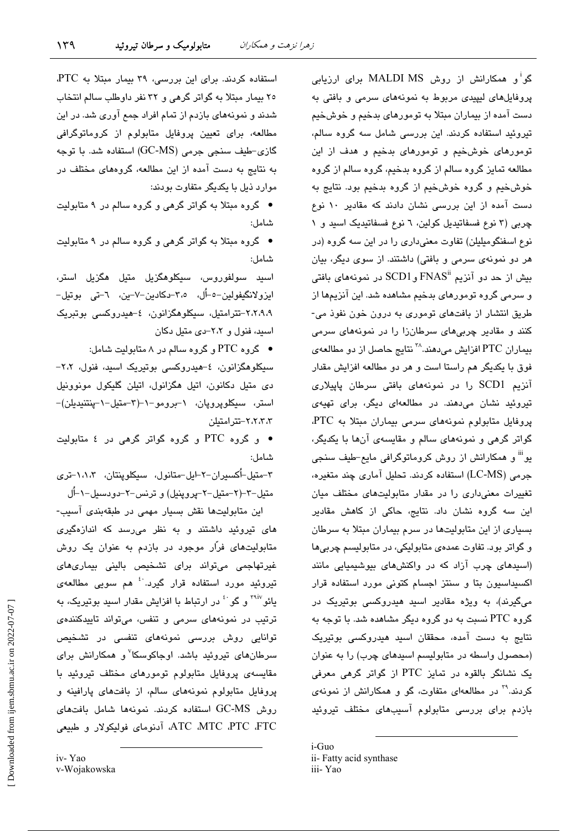گو<sup>ا</sup>و همکارانش از روش MALDI MS برای ارزیابی یروفایلهای لیپیدی مربوط به نمونههای سرمی و بافتی به دست آمده از بیماران مبتلا به تومورهای بدخیم و خوشخیم تیروئید استفاده کردند. این بررسی شامل سه گروه سالم، تومورهای خوش خیم و تومورهای بدخیم و هدف از این مطالعه تمایز گروه سالم از گروه بدخیم، گروه سالم از گروه خوشخیم و گروه خوشخیم از گروه بدخیم بود. نتایج به دست آمده از این بررسی نشان دادند که مقادیر ۱۰ نوع چربی (۳ نوع فسفاتیدیل کولین، ٦ نوع فسفاتیدیک اسید و ١ نوع اسفنگومیلیلن) تفاوت معنیداری را در این سه گروه (در هر دو نمونهی سرمی و بافتی) داشتند. از سوی دیگر، بیان بیش از حد دو آنزیم "FNAS و SCD1 در نمونههای بافتی و سرمی گروه تومورهای بدخیم مشاهده شد. این آنزیمها از طریق انتشار از بافتهای توموری به درون خون نفوذ می-کنن*د* و مقادیر چربیها*ی* سرطانزا را در نمونههای سرمی بیماران PTC افزایش میدهند.<sup>۳۸</sup> نتایج حاصل از دو مطالعهی فوق با یکدیگر هم راستا است و هر دو مطالعه افزایش مقدار آنزیم SCD1 را در نمونههای بافتی سرطان پاپیلاری تیروئید نشان میدهند. در مطالعهای دیگر، برای تهیهی پروفایل متابولوم نمونههای سرمی بیماران مبتلا به PTC، گواتر گرهی و نمونههای سالم و مقایسهی آنها با یکدیگر، یو<sup>!!!</sup> و همکارانش از روش کروماتوگرافی مایع-طیف سنجی جرمی (LC-MS) استفاده کردند. تحلیل آماری چند متغیره، تغییرات معنی داری را در مقدار متابولیتهای مختلف میان این سه گروه نشان داد. نتایج، حاکی از کاهش مقادیر بسیاری از این متابولیتها در سرم بیماران مبتلا به سرطان و گواتر بود. تفاوت عمدهی متابولیکی، در متابولیسم چربیها (اسیدهای چرب آزاد که در واکنشهای بیوشیمیایی مانند اکسیداسیون بتا و سنتز اجسام کتونی مورد استفاده قرار میگیرند)، به ویژه مقادیر اسید هیدروکسی بوتیریک در گروه PTC نسبت به دو گروه دیگر مشاهده شد. با توجه به نتایج به دست آمده، محققان اسید هیدروکسی بوتیریک (محصول واسطه در متابولیسم اسیدهای چرب) را به عنوان یک نشانگر بالقوه در تمایز PTC از گواتر گرهی معرفی کردند.<sup>۳۹</sup> در مطالعهای متفاوت، گو و همکارانش از نمونهی بازدم برای بررسی متابولوم آسیبهای مختلف تیروئید

استفاده کردند. برای این بررسی، ۳۹ بیمار مبتلا به PTC، ۲٥ بیمار مبتلا به گواتر گرهی و ۳۲ نفر داوطلب سالم انتخاب شدند و نمونههای بازدم از تمام افراد جمع آوری شد. در این مطالعه، برای تعیین پروفایل متابولوم از کروماتوگرافی گازی-طیف سنجی جرمی (GC-MS) استفاده شد. با توجه به نتایج به دست آمده از این مطالعه، گروههای مختلف در موارد ذیل با یکدیگر متفاوت بودند:

• گروه مبتلا به گواتر گرهی و گروه سالم در ۹ متابولیت شامل:

● گروه مبتلا به گواتر گرهی و گروه سالم در ۹ متابولیت شامل:

اسىد سولفوروس، سىكلوھگزىل متىل ھگزىل استر، ايزولانگيفولين–٥–أل، ٣،٥–دكادين–٧–ين، ٦–تى بوتيل– ۲،۲،۹،۹-تترامتیل، سیکلوهگزانون، ٤-هیدروکسی بوتبریک اسید، فنول و ٢،٢-دی متبل دکان

● گروه PTC و گروه سالم در ۸ متابولیت شامل:

سیکلوهگزانون، ٤–هیدروکسی بوتیریک اسید، فنول، ٢،٢– دي متيل دکانون، اتيل هگزانول، اتيلن گليکول مونوونيل استر، سیکلوپروپان، ١-برومو-١-(٣-متیل-١-پنتنیدیلن)-٢،٢،٢،٢-تتر امتىلن

• و گروه PTC و گروه گواتر گرهی در ٤ متابولیت شامل:

۳-متیل-اُکسیران-۲-ایل-متانول، سیکلوپنتان، ۱،۱،۳-تری متيل-۳–(۲–متيل-۲–پروپنيل) و ترنس-۲–دودسيل-۱-أل

این متابولیتها نقش بسیار مهمی در طبقهبندی آسیب-های تیروئید داشتند و به نظر می رسد که اندازهگیری متابولیتهای فرّار موجود در بازدم به عنوان یک روش غیرتهاجمی میتواند برای تشخیص بالینی بیماریهای تیروئید مورد استفاده قرار گیرد.<sup>.؛</sup> هم سویی مطالعهی یائو<sup>۲۹iv</sup> و گو<sup>.،</sup> در ارتباط با افزایش مقدار اسید بوتیریک، به ترتیب در نمونههای سرمی و تنفس، میتواند تاییدکنندهی توانایی روش بررسی نمونههای تنفسی در تشخیص سرطانهای تیروئید باشد. اوجاکوسکا<sup>۷</sup>و همکارانش برای مقایسهی پروفایل متابولوم تومورهای مختلف تیروئید با پروفایل متابولوم نمونههای سالم، از بافتهای پارافینه و روش GC-MS استفاده كردند. نمونهها شامل بافتهاى ATC MTC PTC FTC، آدنومای فولیکولار و طبیعی

 $i$ -Guo ii- Fatty acid synthase iii-Yao

iv-Yao

v-Wojakowska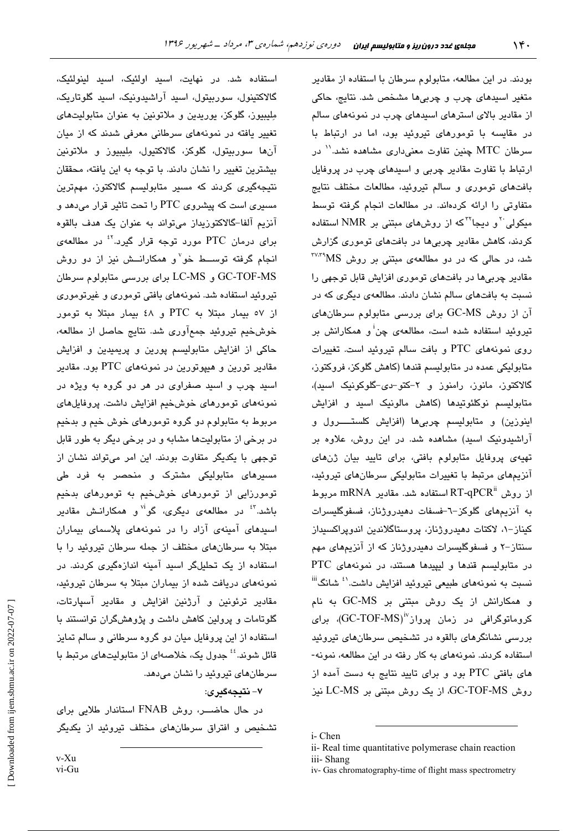استفاده شد. در نهایت، اسید اولئیک، اسید لینولئیک، گالاكتينول، سوربيتول، اسيد آراشيدونيک، اسيد گلوتاريک، مِلِيبِيوز، گلوکز، یوریدین و ملاتونین به عنوان متابولیتهای تغییر یافته در نمونههای سرطانی معرفی شدند که از میان آنها سورېيتول، گلوکز، گالاکتيول، مِليبيوز و ملاتونين بیشترین تغییر را نشان دادند. یا توجه به این یافته، محققان نتیجهگیری کردند که مسیر متابولیسم گالاکتوز، مهمترین مسیری است که پیشروی PTC را تحت تاثیر قرار میدهد و آنزیم آلفا-گالاکتوزیداز میتواند به عنوان یک هدف بالقوه برای درمان PTC مورد توجه قرار گیرد.<sup>۲</sup> در مطالعهی انجام گرفته توسـط خو<sup>۷</sup>و همکارانــش نیز از دو روش GC-TOF-MS و LC-MS براي بررسي متابولوم سرطان تیروئید استفاده شد. نمونههای بافتی توموری و غیرتوموری از ٥٧ بيمار مبتلا به PTC و ٤٨ بيمار مبتلا به تومور خوشخيم تيروئيد جمعآوري شد. نتايج حاصل از مطالعه، حاکی از افزایش متابولیسم پورین و پریمیدین و افزایش مقادیر تورین و هیپوتورین در نمونههای PTC بود. مقادیر اسيد چرب و اسيد صفراوی در هر دو گروه به ويژه در نمونههای تومورهای خوشخیم افزایش داشت. پروفایلهای مربوط به متابولوم دو گروه تومورهای خوش خیم و بدخیم در برخی از متابولیتها مشابه و در برخی دیگر به طور قابل توجهی با یکدیگر متفاوت بودند. این امر میتواند نشان از مسیرهای متابولیکی مشترک و منحصر به فرد طی تومورزایی از تومورهای خوشخیم به تومورهای بدخیم باشد.<sup>۲</sup>ْ در مطالعهی دیگری، گو<sup>ا۷</sup>و همکارانـش مقادیر اسیدهای آمینهی آزاد را در نمونههای پلاسمای بیماران مبتلا به سرطان های مختلف از جمله سرطان تیروئید را با استفاده از یک تحلیلگر اسید آمینه اندازهگیری کردند. در نمونههای دریافت شده از بیماران مبتلا به سرطان تیروئید، مقادیر ترئونین و آرژنین افزایش و مقادیر آسپارتات، گلوتامات و پرولین کاهش داشت و پژوهشگران توانستند با استفاده از این پروفایل میان دو گروه سرطانی و سالم تمایز قائل شوند.'' جدول یک، خلاصهای از متابولیتهای مرتبط با سرطانهای تیروئید را نشان می دهد.

#### ۷- نتىجەگىرى:

در حال حاضـــر، روش FNAB استاندار طلابی برای تشخیص و افتراق سرطانهای مختلف تیروئید از یکدیگر

بودند. در این مطالعه، متابولوم سرطان با استفاده از مقادیر متغیر اسیدهای چرب و چربیها مشخص شد. نتایج، حاکی از مقادیر بالای استرهای اسپدهای چرب در نمونههای سالم در مقایسه با تومورهای تیروئید بود، اما در ارتباط با سرطان MTC چنین تفاوت معنی،داری مشاهده نشد.'' در ارتباط با تفاوت مقادیر چربی و اسیدهای چرب در پروفایل بافتهای توموری و سالم تیروئید، مطالعات مختلف نتایج متفاوتی را ارائه کردهاند. در مطالعات انجام گرفته توسط مبکولی <sup>۲</sup> و دیجا<sup>۲۲</sup>که از روشهای مبتنی بر NMR استفاده کردند، کاهش مقادیر چربیها در بافتهای توموری گزارش شد، در حالی که در دو مطالعهی مبتنی بر روش MS\*،۲۷،۳ مقادیر چربی ها در بافتهای توموری افزایش قابل توجهی را نسبت به بافتهای سالم نشان دادند. مطالعهی دیگری که در آن از روش GC-MS برای بررسی متابولوم سرطانهای تبروئید استفاده شده است، مطالعهی چن<sup>آ</sup> و همکارانش بر روی نمونههای PTC و بافت سالم تیروئید است. تغییرات متابولیکی عمده در متابولیسم قندها (کاهش گلوکز، فروکتوز، گالاکتوز، مانوز، رامنوز و ۲–کتو–دی-گلوکونیک اسبیه)، متابولیسم نوکلئوتیدها (کاهش مالونیک اسید و افزایش اینوزین) و متابولیسم چربیها (افزایش کلستـــــرول و آراشیدونیک اسید) مشاهده شد. در این روش، علاوه بر تهیهی پروفایل متابولوم بافتی، برای تایید بیان ژنهای آنزیمهای مرتبط با تغییرات متابولیکی سرطانهای تیروئید، از روش RT-qPCR استفاده شد. مقادیر mRNA مربوط به آنزیمهای گلوکز-٦-فسفات دهیدروژناز، فسفوگلیسرات كيناز-١، لاكتات دهيدروژناز، پروستاگلاندين اندوپراكسيداز سنتاز-۲ و فسفوگلیسرات دهیدروژناز که از آنزیمهای مهم در متابولیسم قندها و لیپیدها هستند، در نمونههای PTC نسبت به نمونههای طبیعی تیروئید افزایش داشت.<sup>۱٬</sup> شانگ<sup>iii</sup> و همکارانش از یک روش مبتنی بر GC-MS به نام کروماتوگرافی در زمان پرواز<sup>iv</sup>(GC-TOF-MS)، برای بررسی نشانگرهای بالقوه در تشخیص سرطانهای تیروئید استفاده کردند. نمونههای به کار رفته در این مطالعه، نمونه-های بافتی PTC بود و برای تایید نتایج به دست آمده از روش GC-TOF-MS، از یک روش مبتنی بر LC-MS نیز

v-Xu vi-Gu

i-Chen

ii- Real time quantitative polymerase chain reaction iii-Shang

iv-Gas chromatography-time of flight mass spectrometry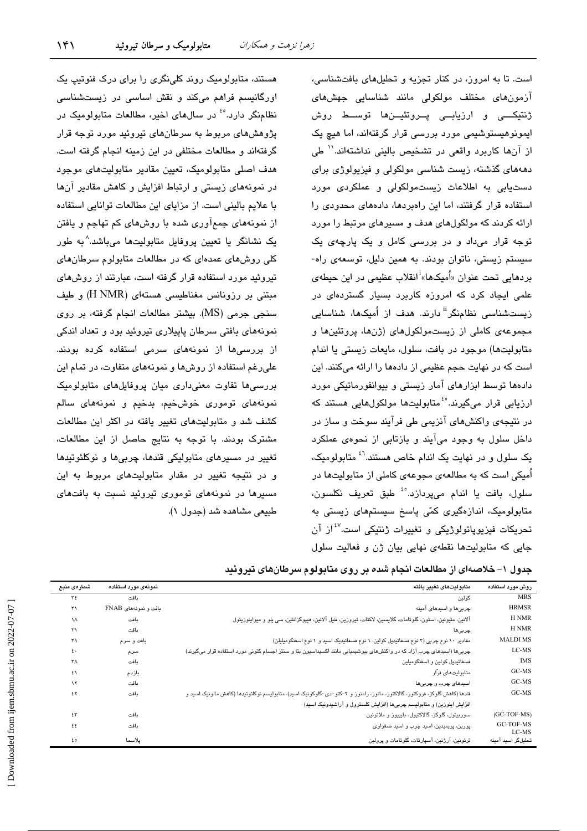$\lambda^*$ 

است. تا به امروز، در کنار تجزیه و تحلیلهای بافتشناسی، آزمونهای مختلف مولکولی مانند شناسایی جهشهای ژنتيکـــي و ارزيابـــي پــروتئيـــنها توســـط روش ایمونوهیستوشیمی مورد بررسی قرار گرفتهاند، اما هیچ یک از آنها كاربرد واقعى در تشخيص باليني نداشتهاند.'' طي دهههای گذشته، زیست شناسی مولکولی و فیزیولوژی برای دستیابی به اطلاعات زیستمولکولی و عملکردی مورد استفاده قرار گرفتند، اما این راهبردها، دادههای محدودی را ارائه کردند که مولکولهای هدف و مسیرهای مرتبط را مورد توجه قرار میداد و در بررسی کامل و یک پارچهی یک سیستم زیستی، ناتوان بودند. به همین دلیل، توسعهی راه-بردهایی تحت عنوان «اُمیکها»<sup>آ</sup>انقلاب عظیمی در این حیطه*ی* علمی ایجاد کرد که امروزه کاربرد بسیار گستردهای در زیستشناسی نظامنگر<sup>ii</sup> دارند. هدف از اُمیکها، شناسایی مجموعهی کاملی از زیستمولکولهای (ژنها، پروتئینها و متابوليتها) موجود در بافت، سلول، مايعات زيستي يا اندام است که در نهایت حجم عظیمی از دادهها را ارائه میکنند. این دادهها توسط ابزارهای آمار زیستی و بیوانفورماتیکی مورد ارزیابی قرار میگیرند.<sup>6</sup>ْ متابولیتها مولکولهایی هستند که در نتیجهی واکنشهای آنزیمی طی فرآیند سوخت و ساز در داخل سلول به وجود می آیند و بازتابی از نحوهی عملکرد یک سلول و در نهایت یک اندام خاص هستند.<sup>۶</sup>۰ متابولومیک، اُمیکی است که به مطالعهی مجوعهی کاملی از متابولیتها در سلول، بافت یا اندام میپردازد.<sup>ه؛</sup> طبق تعریف نکلسون، متابولومیک، اندازهگیری کمّی پاسخ سیستمهای زیستی به تحریکات فیزیوپاتولوژیکی و تغییرات ژنتیکی است.<sup>۶۷</sup>از آن جایی که متابولیتها نقطهی نهایی بیان ژن و فعالیت سلول

اورگانیسم فراهم میکند و نقش اساسی در زیستشناسی نظامنگر دارد.<sup>66</sup> در سالهای اخیر، مطالعات متابولومیک در پژوهشهای مربوط به سرطانهای تیروئید مورد توجه قرار گرفتهاند و مطالعات مختلفی در این زمینه انجام گرفته است. هدف اصلی متابولومیک، تعیین مقادیر متابولیتهای موجود در نمونههای زیستی و ارتباط افزایش و کاهش مقادیر آنها با علايم باليني است. از مزاياي اين مطالعات توانايي استفاده از نمونههای جمعآوری شده با روشهای کم تهاجم و یافتن یک نشانگر یا تعیین پروفایل متابولیتها میباشد.^به طور کلی روشهای عمدهای که در مطالعات متابولوم سرطانهای تیروئید مورد استفاده قرار گرفته است، عبارتند از روشهای مبتنی بر رزونانس مغناطیسی هستهای (H NMR) و طیف سنجی جرمی (MS). بیشتر مطالعات انجام گرفته، بر روی نمونههای بافتی سرطان پاییلاری تیروئید بود و تعداد اندکی از بررسیها از نمونههای سرمی استفاده کرده بودند. علی رغم استفاده از روشها و نمونههای متفاوت، در تمام این بررسیها تفاوت معنیداری میان پروفایلهای متابولومیک نمونههای توموری خوشخیم، بدخیم و نمونههای سالم کشف شد و متابولیتهای تغییر یافته در اکثر این مطالعات مشترک بودند. با توجه به نتایج حاصل از این مطالعات، تغییر در مسیرهای متابولیکی قندها، چربیها و نوکلئوتیدها و در نتیجه تغییر در مقدار متابولیتهای مربوط به این مسیرها در نمونههای توموری تیروئید نسبت به بافتهای طبیعی مشاهده شد (جدول ۱).

هستند، متابولومیک روند کلی نگری را برای درک فنوتیپ یک

| جدول ۱– خلاصهای از مطالعات انجام شده بر روی متابولوم سرطانهای تیروئید |  |  |
|-----------------------------------------------------------------------|--|--|
|-----------------------------------------------------------------------|--|--|

| روش مورد استفاده   | متابولىتهاى تغىبر بافته                                                                                                   | نمونهى مورد استفاده  | شمارەى منبع           |
|--------------------|---------------------------------------------------------------------------------------------------------------------------|----------------------|-----------------------|
| <b>MRS</b>         | كولين                                                                                                                     | ىافت                 | ٣٤                    |
| <b>HRMSR</b>       | چربی ها و اسیدهای آمینه                                                                                                   | بافت و نمونههای FNAB | $\mathsf{r}_1$        |
| H NMR              | آلانین، متیونین، استون، گلوتامات، گلایسین، لاکتات، تیروزین، فنیل آلانین، هیپوگزانتین، سی یلو و میواینوزیتول               | ىافت                 | ١٨                    |
| <b>H NMR</b>       | چربىھا                                                                                                                    | ىافت                 | $\mathsf{r}\setminus$ |
| <b>MALDIMS</b>     | مقادیر ١٠ نوع چربی (٣ نوع فسفاتیدیل کولین، ٦ نوع فسفاتیدیک اسید و ١ نوع اسفنگومیلیلن)                                     | بافت و سرم           | ٣٩                    |
| LC-MS              | چربیها (اسپدهای چرب آزاد که در واکنشهای بپوشیمیایی مانند اکسپداسپون بتا و سنتز اجسام کتونی مورد استفاده قرار میگیرند)     | سرم                  | ٤٠                    |
| <b>IMS</b>         | فسفاتيديل كولين و اسفنگوميلين                                                                                             | بافت                 | ٣٨                    |
| GC-MS              | متابوليتهاى فرأر                                                                                                          | بازدم                | ٤١                    |
| GC-MS              | اسڀدهای چرب و چربی ها                                                                                                     | ىافت                 | $\lambda$             |
| GC-MS              | قندها (كاهش گلوكز، فروكتوز، گالاكتوز، مانوز، رامنوز و ٢–كتو–دي–گلوكونيك اسيد)، متابوليسم نوكلئوتيدها (كاهش مالونيك اسيد و | بافت                 | ٤٢                    |
|                    | افزايش اينوزين) و متابوليسم چربي ها (افزايش كلسترول و آراشيدونيک اسيد)                                                    |                      |                       |
| (GC-TOF-MS)        | سوربیتول، گلوکز، گالاکتبول، ملیبیوز و ملاتونین                                                                            | ىافت                 | ٤٣                    |
| GC-TOF-MS<br>LC-MS | پورين، پريميدين، اسيد چرب و اسيد صفراوی                                                                                   |                      | ٤٤                    |
| تحلیلگر اسید آمینه | ترئونين، آرژنين، آسپارتات، گلوتامات و پرولين                                                                              | يلاسما               | ٤٥                    |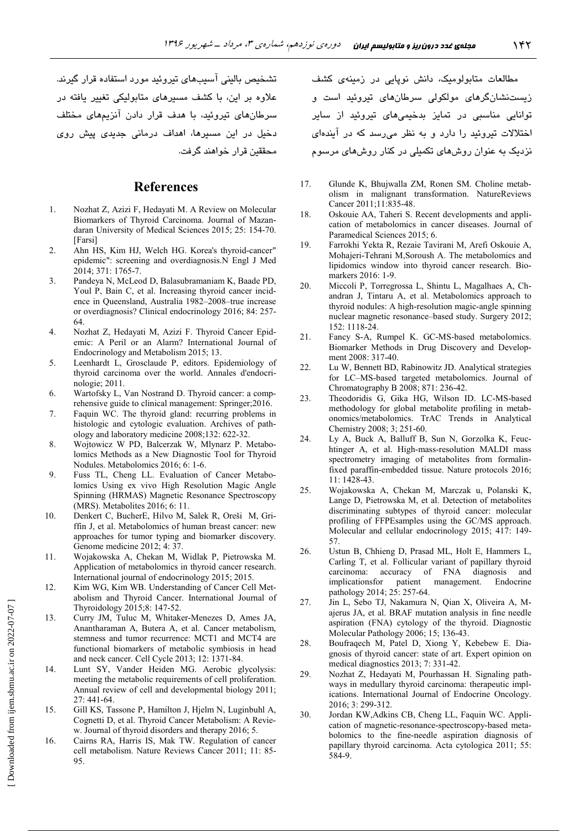تشخیص بالینی اسیبهای تیروئید مورد استفاده قرار گیرند. علاوه بر این، با کشف مسیرهای متابولیکی تغییر یافته در سرطانهای تیروئید، با هدف قرار دادن انزیمهای مختلف دخیل در این مسیرها، اهداف درمانی جدید*ی* پیش رو*ی* محققین قرار خواهند گرفت.

#### **References**

- 1. Nozhat Z, Azizi F, Hedayati M. A Review on Molecular Biomarkers of Thyroid Carcinoma. Journal of Mazandaran University of Medical Sciences 2015; 25: 154-70. [Farsi]
- 2. Ahn HS, Kim HJ, Welch HG. Korea's thyroid-cancer" epidemic": screening and overdiagnosis.N Engl J Med 2014; 371: 1765-7.
- 3. Pandeya N, McLeod D, Balasubramaniam K, Baade PD, Youl P, Bain C, et al. Increasing thyroid cancer incidence in Queensland, Australia 1982–2008–true increase or overdiagnosis? Clinical endocrinology 2016; 84: 257- 64.
- 4. Nozhat Z, Hedayati M, Azizi F. Thyroid Cancer Epidemic: A Peril or an Alarm? International Journal of Endocrinology and Metabolism 2015; 13.
- 5. Leenhardt L, Grosclaude P, editors. Epidemiology of thyroid carcinoma over the world. Annales d'endocrinologie; 2011.
- 6. Wartofsky L, Van Nostrand D. Thyroid cancer: a comprehensive guide to clinical management: Springer;2016.
- 7. Faquin WC. The thyroid gland: recurring problems in histologic and cytologic evaluation. Archives of pathology and laboratory medicine 2008;132: 622-32.
- 8. Wojtowicz W PD, Balcerzak W, Mlynarz P. Metabolomics Methods as a New Diagnostic Tool for Thyroid Nodules. Metabolomics 2016; 6: 1-6.
- 9. Fuss TL, Cheng LL. Evaluation of Cancer Metabolomics Using ex vivo High Resolution Magic Angle Spinning (HRMAS) Magnetic Resonance Spectroscopy (MRS). Metabolites 2016; 6: 11.
- 10. Denkert C, BucherE, Hilvo M, Salek R, Oreši M, Griffin J, et al. Metabolomics of human breast cancer: new approaches for tumor typing and biomarker discovery. Genome medicine 2012; 4: 37.
- 11. Wojakowska A, Chekan M, Widlak P, Pietrowska M. Application of metabolomics in thyroid cancer research. International journal of endocrinology 2015; 2015.
- 12. Kim WG, Kim WB. Understanding of Cancer Cell Metabolism and Thyroid Cancer. International Journal of Thyroidology 2015;8: 147-52.
- 13. Curry JM, Tuluc M, Whitaker-Menezes D, Ames JA, Anantharaman A, Butera A, et al. Cancer metabolism, stemness and tumor recurrence: MCT1 and MCT4 are functional biomarkers of metabolic symbiosis in head and neck cancer. Cell Cycle 2013; 12: 1371-84.
- 14. Lunt SY, Vander Heiden MG. Aerobic glycolysis: meeting the metabolic requirements of cell proliferation. Annual review of cell and developmental biology 2011; 27: 441-64.
- 15. Gill KS, Tassone P, Hamilton J, Hjelm N, Luginbuhl A, Cognetti D, et al. Thyroid Cancer Metabolism: A Review. Journal of thyroid disorders and therapy 2016; 5.
- 16. Cairns RA, Harris IS, Mak TW. Regulation of cancer cell metabolism. Nature Reviews Cancer 2011; 11: 85- 95.

مطالعات متابولومیک، دانش نوپایی در زمینهی کشف زیستنشانگر*های* مولکول*ی* سرطان*های* تیروئید است و توانایی مناسبی در تمایز بدخیمیها*ی* تیروئید از سایر اختلالات تیروئید را دارد و به نظر میرسد که در ایندهای نزدیک به عنوان روش،های تکمیلی در کنار روش،های مرسوم

- 17. Glunde K, Bhujwalla ZM, Ronen SM. Choline metabolism in malignant transformation. NatureReviews Cancer 2011;11:835-48.
- 18. Oskouie AA, Taheri S. Recent developments and application of metabolomics in cancer diseases. Journal of Paramedical Sciences 2015; 6.
- 19. Farrokhi Yekta R, Rezaie Tavirani M, Arefi Oskouie A, Mohajeri-Tehrani M,Soroush A. The metabolomics and lipidomics window into thyroid cancer research. Biomarkers 2016: 1-9.
- 20. Miccoli P, Torregrossa L, Shintu L, Magalhaes A, Chandran J, Tintaru A, et al. Metabolomics approach to thyroid nodules: A high-resolution magic-angle spinning nuclear magnetic resonance–based study. Surgery 2012; 152: 1118-24.
- 21. Fancy S-A, Rumpel K. GC-MS-based metabolomics. Biomarker Methods in Drug Discovery and Development 2008: 317-40.
- 22. Lu W, Bennett BD, Rabinowitz JD. Analytical strategies for LC–MS-based targeted metabolomics. Journal of Chromatography B 2008; 871: 236-42.
- 23. Theodoridis G, Gika HG, Wilson ID. LC-MS-based methodology for global metabolite profiling in metabonomics/metabolomics. TrAC Trends in Analytical Chemistry 2008; 3; 251-60.
- 24. Ly A, Buck A, Balluff B, Sun N, Gorzolka K, Feuchtinger A, et al. High-mass-resolution MALDI mass spectrometry imaging of metabolites from formalinfixed paraffin-embedded tissue. Nature protocols 2016; 11: 1428-43.
- 25. Wojakowska A, Chekan M, Marczak u, Polanski K, Lange D, Pietrowska M, et al. Detection of metabolites discriminating subtypes of thyroid cancer: molecular profiling of FFPEsamples using the GC/MS approach. Molecular and cellular endocrinology 2015; 417: 149- 57.
- 26. Ustun B, Chhieng D, Prasad ML, Holt E, Hammers L, Carling T, et al. Follicular variant of papillary thyroid carcinoma: accuracy of FNA diagnosis and implicationsfor patient management. Endocrine pathology 2014; 25: 257-64.
- 27. Jin L, Sebo TJ, Nakamura N, Qian X, Oliveira A, Majerus JA, et al. BRAF mutation analysis in fine needle aspiration (FNA) cytology of the thyroid. Diagnostic Molecular Pathology 2006; 15; 136-43.
- 28. Boufraqech M, Patel D, Xiong Y, Kebebew E. Diagnosis of thyroid cancer: state of art. Expert opinion on medical diagnostics 2013; 7: 331-42.
- 29. Nozhat Z, Hedayati M, Pourhassan H. Signaling pathways in medullary thyroid carcinoma: therapeutic implications. International Journal of Endocrine Oncology. 2016; 3: 299-312.
- 30. Jordan KW,Adkins CB, Cheng LL, Faquin WC. Application of magnetic-resonance-spectroscopy-based metabolomics to the fine-needle aspiration diagnosis of papillary thyroid carcinoma. Acta cytologica 2011; 55: 584-9.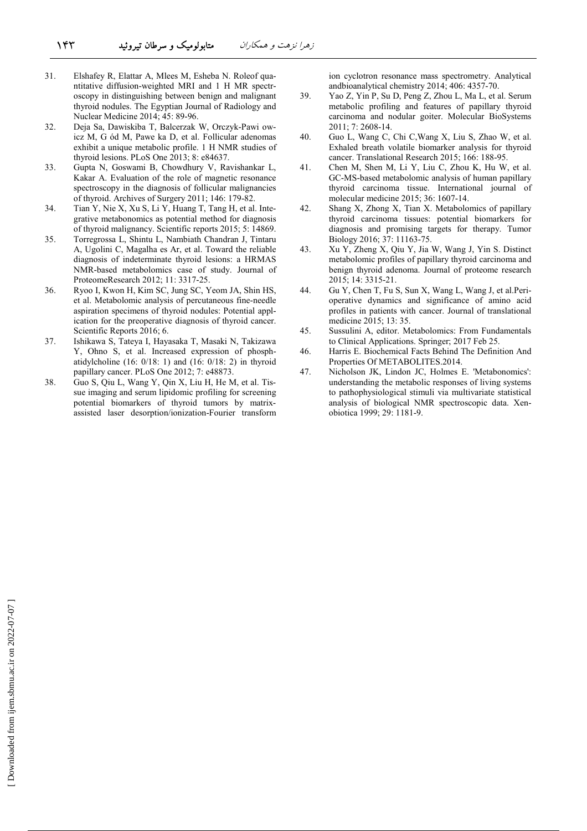- 31. Elshafey R, Elattar A, Mlees M, Esheba N. Roleof quantitative diffusion-weighted MRI and 1 H MR spectroscopy in distinguishing between benign and malignant thyroid nodules. The Egyptian Journal of Radiology and Nuclear Medicine 2014; 45: 89-96.
- 32. Deja Sa, Dawiskiba T, Balcerzak W, Orczyk-Pawi owicz M, G ód M, Pawe ka D, et al. Follicular adenomas exhibit a unique metabolic profile. 1 H NMR studies of thyroid lesions. PLoS One 2013; 8: e84637.
- 33. Gupta N, Goswami B, Chowdhury V, Ravishankar L, Kakar A. Evaluation of the role of magnetic resonance spectroscopy in the diagnosis of follicular malignancies of thyroid. Archives of Surgery 2011; 146: 179-82.
- 34. Tian Y, Nie X, Xu S, Li Y, Huang T, Tang H, et al. Integrative metabonomics as potential method for diagnosis of thyroid malignancy. Scientific reports 2015; 5: 14869.
- 35. Torregrossa L, Shintu L, Nambiath Chandran J, Tintaru A, Ugolini C, Magalha es Ar, et al. Toward the reliable diagnosis of indeterminate thyroid lesions: a HRMAS NMR-based metabolomics case of study. Journal of ProteomeResearch 2012; 11: 3317-25.
- 36. Ryoo I, Kwon H, Kim SC, Jung SC, Yeom JA, Shin HS, et al. Metabolomic analysis of percutaneous fine-needle aspiration specimens of thyroid nodules: Potential application for the preoperative diagnosis of thyroid cancer. Scientific Reports 2016; 6.
- 37. Ishikawa S, Tateya I, Hayasaka T, Masaki N, Takizawa Y, Ohno S, et al. Increased expression of phosphatidylcholine (16: 0/18: 1) and (16: 0/18: 2) in thyroid papillary cancer. PLoS One 2012; 7: e48873.
- 38. Guo S, Qiu L, Wang Y, Qin X, Liu H, He M, et al. Tissue imaging and serum lipidomic profiling for screening potential biomarkers of thyroid tumors by matrixassisted laser desorption/ionization-Fourier transform

ion cyclotron resonance mass spectrometry. Analytical andbioanalytical chemistry 2014; 406: 4357-70.

- 39. Yao Z, Yin P, Su D, Peng Z, Zhou L, Ma L, et al. Serum metabolic profiling and features of papillary thyroid carcinoma and nodular goiter. Molecular BioSystems 2011; 7: 2608-14.
- 40. Guo L, Wang C, Chi C,Wang X, Liu S, Zhao W, et al. Exhaled breath volatile biomarker analysis for thyroid cancer. Translational Research 2015; 166: 188-95.
- 41. Chen M, Shen M, Li Y, Liu C, Zhou K, Hu W, et al. GC-MS-based metabolomic analysis of human papillary thyroid carcinoma tissue. International journal of molecular medicine 2015; 36: 1607-14.
- 42. Shang X, Zhong X, Tian X. Metabolomics of papillary thyroid carcinoma tissues: potential biomarkers for diagnosis and promising targets for therapy. Tumor Biology 2016; 37: 11163-75.
- 43. Xu Y, Zheng X, Qiu Y, Jia W, Wang J, Yin S. Distinct metabolomic profiles of papillary thyroid carcinoma and benign thyroid adenoma. Journal of proteome research 2015; 14: 3315-21.
- 44. Gu Y, Chen T, Fu S, Sun X, Wang L, Wang J, et al.Perioperative dynamics and significance of amino acid profiles in patients with cancer. Journal of translational medicine 2015; 13: 35.
- 45. Sussulini A, editor. Metabolomics: From Fundamentals to Clinical Applications. Springer; 2017 Feb 25.
- 46. Harris E. Biochemical Facts Behind The Definition And Properties Of METABOLITES.2014.
- 47. Nicholson JK, Lindon JC, Holmes E. 'Metabonomics': understanding the metabolic responses of living systems to pathophysiological stimuli via multivariate statistical analysis of biological NMR spectroscopic data. Xenobiotica 1999; 29: 1181-9.